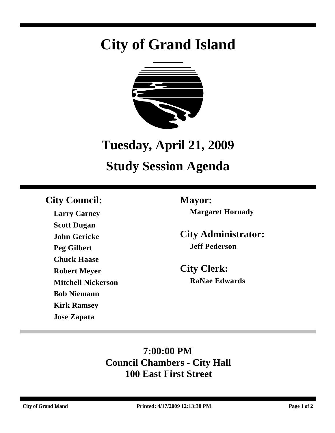# **City of Grand Island**



## **Tuesday, April 21, 2009**

## **Study Session Agenda**

## **City Council: Mayor:**

**Larry Carney Scott Dugan John Gericke Peg Gilbert Chuck Haase Robert Meyer Mitchell Nickerson Bob Niemann Kirk Ramsey Jose Zapata**

**Margaret Hornady**

**City Administrator: Jeff Pederson**

**City Clerk: RaNae Edwards**

## **7:00:00 PM Council Chambers - City Hall 100 East First Street**